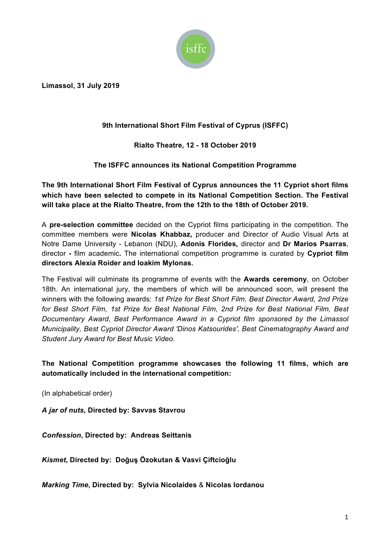

**Limassol, 31 July 2019**

## **9th International Short Film Festival of Cyprus (ISFFC)**

**Rialto Theatre, 12 - 18 October 2019**

**The ISFFC announces its National Competition Programme**

**The 9th International Short Film Festival of Cyprus announces the 11 Cypriot short films which have been selected to compete in its National Competition Section. The Festival will take place at the Rialto Theatre, from the 12th to the 18th of October 2019.**

A **pre-selection committee** decided on the Cypriot films participating in the competition. The committee members were **Nicolas Khabbaz,** producer and Director of Audio Visual Arts at Notre Dame University - Lebanon (NDU), **Adonis Florides,** director and **Dr Marios Psarras**, director **-** film academic**.** The international competition programme is curated by **Cypriot film directors Alexia Roider and Ioakim Mylonas.**

The Festival will culminate its programme of events with the **Awards ceremony**, on October 18th. An international jury, the members of which will be announced soon, will present the winners with the following awards: *1st Prize for Best Short Film, Best Director Award, 2nd Prize for Best Short Film, 1st Prize for Best National Film, 2nd Prize for Best National Film, Best Documentary Award, Best Performance Award in a Cypriot film sponsored by the Limassol Municipality, Best Cypriot Director Award 'Dinos Katsourides', Best Cinematography Award and Student Jury Award for Best Music Video.* 

**The National Competition programme showcases the following 11 films, which are automatically included in the international competition:**

(In alphabetical order)

*Α jar of nuts,* **Directed by: Savvas Stavrou**

*Confession***, Directed by: Andreas Seittanis**

*Kismet***, Directed by: Doğuş Özokutan & Vasvi Çiftcioğlu**

*Marking Time***, Directed by: Sylvia Nicolaides** & **Nicolas Iordanou**